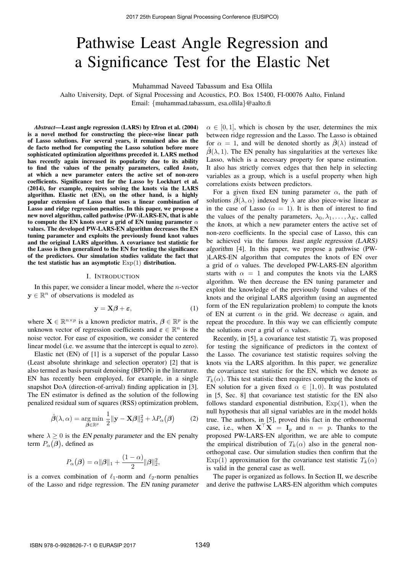# Pathwise Least Angle Regression and a Significance Test for the Elastic Net

Muhammad Naveed Tabassum and Esa Ollila

Aalto University, Dept. of Signal Processing and Acoustics, P.O. Box 15400, FI-00076 Aalto, Finland Email: {muhammad.tabassum, esa.ollila}@aalto.fi

*Abstract*—Least angle regression (LARS) by Efron et al. (2004) is a novel method for constructing the piece-wise linear path of Lasso solutions. For several years, it remained also as the de facto method for computing the Lasso solution before more sophisticated optimization algorithms preceded it. LARS method has recently again increased its popularity due to its ability to find the values of the penalty parameters, called *knots*, at which a new parameter enters the active set of non-zero coefficients. Significance test for the Lasso by Lockhart et al. (2014), for example, requires solving the knots via the LARS algorithm. Elastic net (EN), on the other hand, is a highly popular extension of Lasso that uses a linear combination of Lasso and ridge regression penalties. In this paper, we propose a new novel algorithm, called pathwise (PW-)LARS-EN, that is able to compute the EN knots over a grid of EN tuning parameter  $\alpha$ values. The developed PW-LARS-EN algorithm decreases the EN tuning parameter and exploits the previously found knot values and the original LARS algorithm. A covariance test statistic for the Lasso is then generalized to the EN for testing the significance of the predictors. Our simulation studies validate the fact that the test statistic has an asymptotic  $Exp(1)$  distribution.

#### I. INTRODUCTION

In this paper, we consider a linear model, where the  $n$ -vector  $y \in \mathbb{R}^n$  of observations is modeled as

$$
y = X\beta + \varepsilon, \tag{1}
$$

where  $\mathbf{X} \in \mathbb{R}^{n \times p}$  is a known predictor matrix,  $\boldsymbol{\beta} \in \mathbb{R}^p$  is the unknown vector of regression coefficients and  $\boldsymbol{\varepsilon} \in \mathbb{R}^n$  is the noise vector. For ease of exposition, we consider the centered linear model (i.e. we assume that the intercept is equal to zero).

Elastic net (EN) of [1] is a superset of the popular Lasso (Least absolute shrinkage and selection operator) [2] that is also termed as basis pursuit denoising (BPDN) in the literature. EN has recently been employed, for example, in a single snapshot DoA (direction-of-arrival) finding application in [3]. The EN estimator is defined as the solution of the following penalized residual sum of squares (RSS) optimization problem,

$$
\hat{\boldsymbol{\beta}}(\lambda,\alpha) = \underset{\boldsymbol{\beta} \in \mathbb{R}^p}{\arg \min} \ \frac{1}{2} ||\mathbf{y} - \mathbf{X}\boldsymbol{\beta}||_2^2 + \lambda P_\alpha(\boldsymbol{\beta}) \tag{2}
$$

where  $\lambda \geq 0$  is the *EN* penalty parameter and the EN penalty term  $P_{\alpha}(\beta)$ , defined as

$$
P_{\alpha}(\boldsymbol{\beta}) = \alpha ||\boldsymbol{\beta}||_1 + \frac{(1-\alpha)}{2} ||\boldsymbol{\beta}||_2^2,
$$

is a convex combination of  $\ell_1$ -norm and  $\ell_2$ -norm penalties of the Lasso and ridge regression. The EN tuning parameter  $\alpha \in [0, 1]$ , which is chosen by the user, determines the mix between ridge regression and the Lasso. The Lasso is obtained for  $\alpha = 1$ , and will be denoted shortly as  $\hat{\beta}(\lambda)$  instead of  $\hat{\beta}(\lambda, 1)$ . The EN penalty has singularities at the vertexes like Lasso, which is a necessary property for sparse estimation. It also has strictly convex edges that then help in selecting variables as a group, which is a useful property when high correlations exists between predictors.

For a given fixed EN tuning parameter  $\alpha$ , the path of solutions  $\hat{\beta}(\lambda,\alpha)$  indexed by  $\lambda$  are also piece-wise linear as in the case of Lasso ( $\alpha = 1$ ). It is then of interest to find the values of the penalty parameters,  $\lambda_0, \lambda_1, \ldots, \lambda_K$ , called the knots, at which a new parameter enters the active set of non-zero coefficients. In the special case of Lasso, this can be achieved via the famous least angle regression (LARS) algorithm [4]. In this paper, we propose a pathwise (PW- )LARS-EN algorithm that computes the knots of EN over a grid of  $\alpha$  values. The developed PW-LARS-EN algorithm starts with  $\alpha = 1$  and computes the knots via the LARS algorithm. We then decrease the EN tuning parameter and exploit the knowledge of the previously found values of the knots and the original LARS algorithm (using an augmented form of the EN regularization problem) to compute the knots of EN at current  $\alpha$  in the grid. We decrease  $\alpha$  again, and repeat the procedure. In this way we can efficiently compute the solutions over a grid of  $\alpha$  values.

Recently, in [5], a covariance test statistic  $T_k$  was proposed for testing the significance of predictors in the context of the Lasso. The covariance test statistic requires solving the knots via the LARS algorithm. In this paper, we generalize the covariance test statistic for the EN, which we denote as  $T_k(\alpha)$ . This test statistic then requires computing the knots of EN solution for a given fixed  $\alpha \in [1,0)$ . It was postulated in [5, Sec. 8] that covariance test statistic for the EN also follows standard exponential distribution,  $Exp(1)$ , when the null hypothesis that all signal variables are in the model holds true. The authors, in [5], proved this fact in the orthonormal case, i.e., when  $X^{\top}X = I_p$  and  $n = p$ . Thanks to the proposed PW-LARS-EN algorithm, we are able to compute the empirical distribution of  $T_k(\alpha)$  also in the general nonorthogonal case. Our simulation studies then confirm that the Exp(1) approximation for the covariance test statistic  $T_k(\alpha)$ is valid in the general case as well.

The paper is organized as follows. In Section II, we describe and derive the pathwise LARS-EN algorithm which computes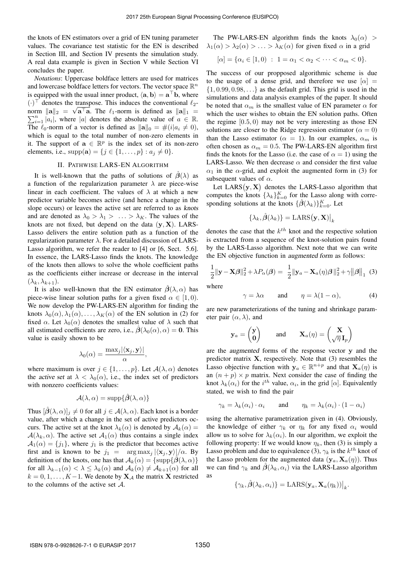the knots of EN estimators over a grid of EN tuning parameter values. The covariance test statistic for the EN is described in Section III, and Section IV presents the simulation study. A real data example is given in Section V while Section VI concludes the paper.

*Notations*: Uppercase boldface letters are used for matrices and lowercase boldface letters for vectors. The vector space  $\mathbb{R}^n$ is equipped with the usual inner product,  $\langle a, b \rangle = a^{\top}b$ , where (·)<sup>⊤</sup> denotes the transpose. This induces the conventional  $\ell_2$ norm  $\|\mathbf{a}\|_2 = \sqrt{\mathbf{a}^\top \mathbf{a}}$ . The  $\ell_1$ -norm is defined as  $\|\mathbf{a}\|_1 =$  $\sum_{i=1}^{n} |a_i|$ , where |a| denotes the absolute value of  $a \in \mathbb{R}$ . The  $\ell_0$ -norm of a vector is defined as  $\|\mathbf{a}\|_0 = \#(i|a_i \neq 0),$ which is equal to the total number of non-zero elements in it. The support of  $\mathbf{a} \in \mathbb{R}^p$  is the index set of its non-zero elements, i.e.,  $supp(\mathbf{a}) = \{j \in \{1, ..., p\} : a_j \neq 0\}.$ 

## II. PATHWISE LARS-EN ALGORITHM

It is well-known that the paths of solutions of  $\hat{B}(\lambda)$  as a function of the regularization parameter  $\lambda$  are piece-wise linear in each coefficient. The values of  $\lambda$  at which a new predictor variable becomes active (and hence a change in the slope occurs) or leaves the active set are referred to as knots and are denoted as  $\lambda_0 > \lambda_1 > \ldots > \lambda_K$ . The values of the knots are not fixed, but depend on the data  $(y, X)$ . LARS-Lasso delivers the entire solution path as a function of the regularization parameter  $\lambda$ . For a detailed discussion of LARS-Lasso algorithm, we refer the reader to [4] or [6, Sect. 5.6]. In essence, the LARS-Lasso finds the knots. The knowledge of the knots then allows to solve the whole coefficient paths as the coefficients either increase or decrease in the interval  $(\lambda_k, \lambda_{k+1}).$ 

It is also well-known that the EN estimator  $\hat{\beta}(\lambda,\alpha)$  has piece-wise linear solution paths for a given fixed  $\alpha \in [1,0)$ . We now develop the PW-LARS-EN algorithm for finding the knots  $\lambda_0(\alpha), \lambda_1(\alpha), \ldots, \lambda_K(\alpha)$  of the EN solution in (2) for fixed  $\alpha$ . Let  $\lambda_0(\alpha)$  denotes the smallest value of  $\lambda$  such that all estimated coefficients are zero, i.e.,  $\hat{\boldsymbol{\beta}}(\lambda_0(\alpha), \alpha) = 0$ . This value is easily shown to be

$$
\lambda_0(\alpha) = \frac{\max_j |\langle \mathbf{x}_j, \mathbf{y} \rangle|}{\alpha},
$$

where maximum is over  $j \in \{1, \ldots, p\}$ . Let  $\mathcal{A}(\lambda, \alpha)$  denotes the active set at  $\lambda < \lambda_0(\alpha)$ , i.e., the index set of predictors with nonzero coefficients values:

$$
\mathcal{A}(\lambda,\alpha)=\mathrm{supp}\{\hat{\boldsymbol{\beta}}(\lambda,\alpha)\}
$$

Thus  $[\beta(\lambda, \alpha)]_j \neq 0$  for all  $j \in \mathcal{A}(\lambda, \alpha)$ . Each knot is a border value, after which a change in the set of active predictors occurs. The active set at the knot  $\lambda_k(\alpha)$  is denoted by  $A_k(\alpha) =$  $A(\lambda_k, \alpha)$ . The active set  $A_1(\alpha)$  thus contains a single index  $A_1(\alpha) = \{j_1\}$ , where  $j_1$  is the predictor that becomes active first and is known to be  $j_1 = \arg \max_j |\langle \mathbf{x}_i, \mathbf{y} \rangle|/\alpha$ . By definition of the knots, one has that  $A_k(\alpha) = {\text{supp}\{\hat{\beta}(\lambda, \alpha)\}}$ for all  $\lambda_{k-1}(\alpha) < \lambda \leq \lambda_k(\alpha)$  and  $\mathcal{A}_k(\alpha) \neq \mathcal{A}_{k+1}(\alpha)$  for all  $k = 0, 1, \dots, K-1$ . We denote by  $\mathbf{X}_{\mathcal{A}}$  the matrix X restricted to the columns of the active set A.

The PW-LARS-EN algorithm finds the knots  $\lambda_0(\alpha)$  >  $\lambda_1(\alpha) > \lambda_2(\alpha) > \ldots > \lambda_K(\alpha)$  for given fixed  $\alpha$  in a grid

$$
[\alpha] = {\alpha_i \in [1,0) : 1 = \alpha_1 < \alpha_2 < \cdots < \alpha_m < 0}.
$$

The success of our propposed algorithmic scheme is due to the usage of a dense grid, and therefore we use  $[\alpha] =$  $\{1, 0.99, 0.98, \ldots\}$  as the default grid. This grid is used in the simulations and data analysis examples of the paper. It should be noted that  $\alpha_m$  is the smallest value of EN parameter  $\alpha$  for which the user wishes to obtain the EN solution paths. Often the regime  $[0.5, 0)$  may not be very interesting as those EN solutions are closer to the Ridge regression estimator ( $\alpha = 0$ ) than the Lasso estimator ( $\alpha = 1$ ). In our examples,  $\alpha_m$  is often chosen as  $\alpha_m = 0.5$ . The PW-LARS-EN algorithm first finds the knots for the Lasso (i.e. the case of  $\alpha = 1$ ) using the LARS-Lasso. We then decrease  $\alpha$  and consider the first value  $\alpha_1$  in the  $\alpha$ -grid, and exploit the augmented form in (3) for subsequent values of  $\alpha$ .

Let  $LARS(y, X)$  denotes the LARS-Lasso algorithm that computes the knots  $\{\lambda_k\}_{k=0}^K$  for the Lasso along with corresponding solutions at the knots  $\{\hat{\beta}(\lambda_k)\}_{k=0}^K$ . Let

$$
\{\lambda_k, \hat{\boldsymbol{\beta}}(\lambda_k)\} = \text{LARS}(\mathbf{y}, \mathbf{X})\big|_k
$$

denotes the case that the  $k^{th}$  knot and the respective solution is extracted from a sequence of the knot-solution pairs found by the LARS-Lasso algorithm. Next note that we can write the EN objective function in augmented form as follows:

$$
\frac{1}{2} \|\mathbf{y} - \mathbf{X}\boldsymbol{\beta}\|_2^2 + \lambda P_\alpha(\boldsymbol{\beta}) = \frac{1}{2} \|\mathbf{y}_a - \mathbf{X}_a(\boldsymbol{\eta})\boldsymbol{\beta}\|_2^2 + \gamma \|\boldsymbol{\beta}\|_1
$$
 (3)

where

$$
\gamma = \lambda \alpha \qquad \text{and} \qquad \eta = \lambda (1 - \alpha), \tag{4}
$$

are new parameterizations of the tuning and shrinkage parameter pair  $(\alpha, \lambda)$ , and

$$
\mathbf{y}_a = \begin{pmatrix} \mathbf{y} \\ \mathbf{0} \end{pmatrix} \text{ and } \mathbf{X}_a(\eta) = \begin{pmatrix} \mathbf{X} \\ \sqrt{\eta} \mathbf{I}_p \end{pmatrix}
$$

are the augmented forms of the response vector y and the predictor matrix  $X$ , respectively. Note that  $(3)$  resembles the Lasso objective function with  $y_a \in \mathbb{R}^{n+p}$  and that  $\mathbf{X}_a(\eta)$  is an  $(n + p) \times p$  matrix. Next consider the case of finding the knot  $\lambda_k(\alpha_i)$  for the  $i^{th}$  value,  $\alpha_i$ , in the grid  $[\alpha]$ . Equivalently stated, we wish to find the pair

$$
\gamma_k = \lambda_k(\alpha_i) \cdot \alpha_i
$$
 and  $\eta_k = \lambda_k(\alpha_i) \cdot (1 - \alpha_i)$ 

using the alternative parametrization given in (4). Obviously, the knowledge of either  $\gamma_k$  or  $\eta_k$  for any fixed  $\alpha_i$  would allow us to solve for  $\lambda_k(\alpha_i)$ . In our algorithm, we exploit the following property: If we would know  $\eta_k$ , then (3) is simply a Lasso problem and due to equivalence (3),  $\gamma_k$  is the  $k^{th}$  knot of the Lasso problem for the augmented data  $(\mathbf{y}_a, \mathbf{X}_a(\eta))$ . Thus we can find  $\gamma_k$  and  $\hat{\beta}(\lambda_k, \alpha_i)$  via the LARS-Lasso algorithm as

$$
\{\gamma_k, \hat{\boldsymbol{\beta}}(\lambda_k, \alpha_i)\} = \text{LARS}(\mathbf{y}_a, \mathbf{X}_a(\eta_k))\big|_k.
$$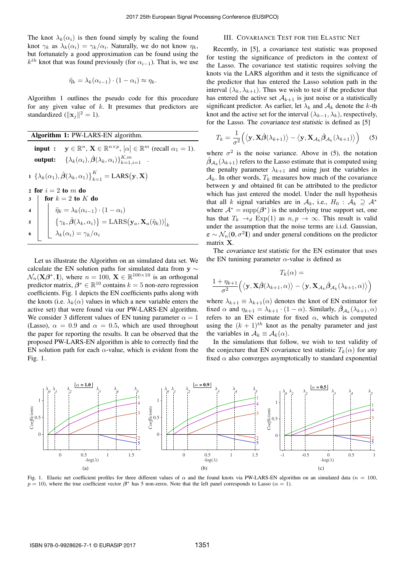The knot  $\lambda_k(\alpha_i)$  is then found simply by scaling the found knot  $\gamma_k$  as  $\lambda_k(\alpha_i) = \gamma_k/\alpha_i$ . Naturally, we do not know  $\eta_k$ , but fortunately a good approximation can be found using the  $k^{th}$  knot that was found previously (for  $\alpha_{i-1}$ ). That is, we use

$$
\tilde{\eta}_k = \lambda_k(\alpha_{i-1}) \cdot (1 - \alpha_i) \approx \eta_k.
$$

Algorithm 1 outlines the pseudo code for this procedure for any given value of  $k$ . It presumes that predictors are standardized  $(\|\mathbf{x}_j\|^2 = 1)$ .

Algorithm 1: PW-LARS-EN algorithm.

input :  $y \in \mathbb{R}^n$ ,  $X \in \mathbb{R}^{n \times p}$ ,  $[\alpha] \in \mathbb{R}^m$  (recall  $\alpha_1 = 1$ ). output:  $\{\lambda_k(\alpha_i), \hat{\boldsymbol{\beta}}(\lambda_k,\alpha_i)\}_{k=1,i=1}^{K,m}$  . 1  $\{\lambda_k(\alpha_1), \hat{\boldsymbol{\beta}}(\lambda_k, \alpha_1)\}_{k=1}^K = \text{LARS}(\mathbf{y}, \mathbf{X})$ 2 for  $i = 2$  to m do  $3 \text{ for } k = 2 \text{ to } K \text{ do}$ 4  $\hat{\eta}_k = \lambda_k(\alpha_{i-1}) \cdot (1 - \alpha_i)$ 5  $\{ \gamma_k, \hat{\boldsymbol{\beta}}(\lambda_k, \alpha_i) \} = \text{LARS}(\mathbf{y}_a, \mathbf{X}_a(\tilde{\eta}_k)) \big|_k$ 6  $\lambda_k(\alpha_i) = \gamma_k/\alpha_i$ 

Let us illustrate the Algorithm on an simulated data set. We calculate the EN solution paths for simulated data from  $y \sim$  $\mathcal{N}_n(\mathbf{X}\boldsymbol{\beta}^*, \mathbf{I})$ , where  $n = 100$ ,  $\mathbf{X} \in \mathbb{R}^{100 \times 10}$  is an orthogonal predictor matrix,  $\beta^* \in \mathbb{R}^{10}$  contains  $k = 5$  non-zero regression coefficients. Fig. 1 depicts the EN coefficients paths along with the knots (i.e.  $\lambda_k(\alpha)$  values in which a new variable enters the active set) that were found via our PW-LARS-EN algorithm. We consider 3 different values of EN tuning parameter  $\alpha = 1$ (Lasso),  $\alpha = 0.9$  and  $\alpha = 0.5$ , which are used throughout the paper for reporting the results. It can be observed that the proposed PW-LARS-EN algorithm is able to correctly find the EN solution path for each  $\alpha$ -value, which is evident from the Fig. 1.

# III. COVARIANCE TEST FOR THE ELASTIC NET

Recently, in [5], a covariance test statistic was proposed for testing the significance of predictors in the context of the Lasso. The covariance test statistic requires solving the knots via the LARS algorithm and it tests the significance of the predictor that has entered the Lasso solution path in the interval  $(\lambda_k, \lambda_{k+1})$ . Thus we wish to test if the predictor that has entered the active set  $A_{k+1}$  is just noise or a statistically significant predictor. As earlier, let  $\lambda_k$  and  $A_k$  denote the k-th knot and the active set for the interval  $(\lambda_{k-1}, \lambda_k)$ , respectively, for the Lasso. The covariance test statistic is defined as [5]

$$
T_k = \frac{1}{\sigma^2} \Big( \langle \mathbf{y}, \mathbf{X} \hat{\boldsymbol{\beta}}(\lambda_{k+1}) \rangle - \langle \mathbf{y}, \mathbf{X}_{\mathcal{A}_k} \hat{\boldsymbol{\beta}}_{\mathcal{A}_k}(\lambda_{k+1}) \rangle \Big) \quad (5)
$$

where  $\sigma^2$  is the noise variance. Above in (5), the notation  $\hat{\beta}_{\mathcal{A}_k}(\lambda_{k+1})$  refers to the Lasso estimate that is computed using the penalty parameter  $\lambda_{k+1}$  and using just the variables in  $\mathcal{A}_k$ . In other words,  $T_k$  measures how much of the covariance between y and obtained fit can be attributed to the predictor which has just entered the model. Under the null hypothesis that all k signal variables are in  $A_k$ , i.e.,  $H_0$  :  $A_k \supseteq A^*$ where  $A^* = \text{supp}(\beta^*)$  is the underlying true support set, one has that  $T_k \rightarrow_d \text{Exp}(1)$  as  $n, p \rightarrow \infty$ . This result is valid under the assumption that the noise terms are i.i.d. Gaussian,  $\epsilon \sim \mathcal{N}_n(\mathbf{0}, \sigma^2 \mathbf{I})$  and under general conditions on the predictor matrix X.

The covariance test statistic for the EN estimator that uses the EN tunining parameter  $\alpha$ -value is defined as

$$
T_k(\alpha) =
$$
  

$$
\frac{1 + \eta_{k+1}}{\sigma^2} (\langle \mathbf{y}, \mathbf{X}\hat{\boldsymbol{\beta}}(\lambda_{k+1}, \alpha) \rangle - \langle \mathbf{y}, \mathbf{X}_{\mathcal{A}_k} \hat{\boldsymbol{\beta}}_{\mathcal{A}_k}(\lambda_{k+1}, \alpha) \rangle)
$$

where  $\lambda_{k+1} \equiv \lambda_{k+1}(\alpha)$  denotes the knot of EN estimator for fixed  $\alpha$  and  $\eta_{k+1} = \lambda_{k+1} \cdot (1 - \alpha)$ . Similarly,  $\hat{\beta}_{\mathcal{A}_k}(\lambda_{k+1}, \alpha)$ refers to an EN estimate for fixed  $\alpha$ , which is computed using the  $(k + 1)^{th}$  knot as the penalty parameter and just the variables in  $A_k \equiv A_k(\alpha)$ .

In the simulations that follow, we wish to test validity of the conjecture that EN covariance test statistic  $T_k(\alpha)$  for any fixed  $\alpha$  also converges asymptotically to standard exponential



Fig. 1. Elastic net coefficient profiles for three different values of  $\alpha$  and the found knots via PW-LARS-EN algorithm on an simulated data ( $n = 100$ ,  $p = 10$ ), where the true coefficient vector  $\beta^*$  has 5 non-zeros. Note that the left panel corresponds to Lasso ( $\alpha = 1$ ).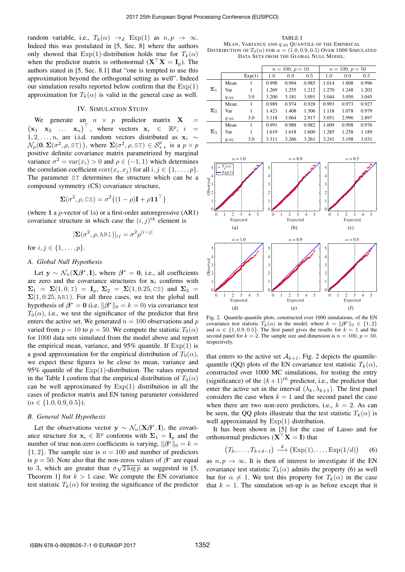random variable, i.e.,  $T_k(\alpha) \rightarrow_d \text{Exp}(1)$  as  $n, p \rightarrow \infty$ . Indeed this was postulated in [5, Sec. 8] where the authors only showed that  $Exp(1)$ -distribution holds true for  $T_k(\alpha)$ when the predictor matrix is orthonormal  $(X^{\top} X = I_p)$ . The authors stated in [5, Sec. 8.1] that "one is tempted to use this approximation beyond the orthogonal setting as well". Indeed our simulation results reported below confirm that the  $Exp(1)$ approximation for  $T_k(\alpha)$  is valid in the general case as well.

# IV. SIMULATION STUDY

We generate an  $n \times p$  predictor matrix  $X =$  $(\mathbf{x}_1 \ \mathbf{x}_2 \ \dots \ \mathbf{x}_n)^\top$ , where vectors  $\mathbf{x}_i \in \mathbb{R}^p$ ,  $i =$ 1, 2, . . . , *n*, are i.i.d. random vectors distributed as  $x_i \sim$  $\mathcal{N}_p(\mathbf{0}, \Sigma(\sigma^2, \rho, \texttt{ST}))$ , where  $\Sigma(\sigma^2, \rho, \texttt{ST}) \in \mathcal{S}_{++}^p$  is a  $p \times p$ positive definite covariance matrix parametrized by marginal variance  $\sigma^2 = \text{var}(x_i) > 0$  and  $\rho \in (-1, 1)$  which determines the correlation coefficient  $\text{corr}(x_i, x_j)$  for all  $i, j \in \{1, \ldots, p\}$ . The parameter ST determines the structure which can be a compound symmetry (CS) covariance structure,

$$
\Sigma(\sigma^2, \rho, \text{CS}) = \sigma^2 \{ (1 - \rho) \mathbf{I} + \rho \mathbf{1} \mathbf{1}^\top \}
$$

(where 1 a  $p$ -vector of 1s) or a first-order autoregressive  $(AR1)$ covariance structure in which case the  $(i, j)$ <sup>th</sup> element is

$$
[\Sigma(\sigma^2, \rho, \text{ARI})]_{ij} = \sigma^2 \rho^{|i-j|}
$$

for  $i, j \in \{1, ..., p\}$ .

## *A. Global Null Hypothesis*

Let  $y \sim \mathcal{N}_n(X\beta^*, I)$ , where  $\beta^* = 0$ , i.e., all coefficients are zero and the covariance structures for  $x_i$  confirms with  $\Sigma_1 = \Sigma(1,0,1) = I_p$ ,  $\Sigma_2 = \Sigma(1,0.25,\text{CS})$  and  $\Sigma_3 =$  $\Sigma(1, 0.25, \text{ARI})$ . For all three cases, we test the global null hypothesis of  $\beta^* = 0$  (i.e.  $\|\beta^*\|_0 = k = 0$ ) via covariance test  $T_0(\alpha)$ , i.e., we test the significance of the predictor that first enters the active set. We generated  $n = 100$  observations and p varied from  $p = 10$  to  $p = 50$ . We compute the statistic  $T_0(\alpha)$ for 1000 data sets simulated from the model above and report the empirical mean, variance, and  $95\%$  quantile. If  $Exp(1)$  is a good approximation for the empirical distribution of  $T_0(\alpha)$ , we expect these figures to be close to mean, variance and 95% quantile of the  $Exp(1)$ -distribution. The values reported in the Table I confirm that the empirical distribution of  $T_0(\alpha)$ can be well approximated by  $Exp(1)$  distribution in all the cases of predictor matrix and EN tuning parameter considered  $(\alpha \in \{1.0, 0.9, 0.5\}).$ 

#### *B. General Null Hypothesis*

Let the observations vector  $y \sim \mathcal{N}_n(X\beta^*, I)$ , the covariance structure for  $x_i \in \mathbb{R}^p$  conforms with  $\Sigma_1 = I_p$  and the number of true non-zero coefficients is varying,  $\|\beta^*\|_0 = k =$  $\{1, 2\}$ . The sample size is  $n = 100$  and number of predictors is  $p = 50$ . Note also that the non-zeros values of  $\beta^*$  are equal to 3, which are greater than  $\sigma\sqrt{2\log p}$  as suggested in [5, Theorem 1] for  $k > 1$  case. We compute the EN covariance test statistic  $T_k(\alpha)$  for testing the significance of the predictor

TABLE I MEAN, VARIANCE AND q.<sup>95</sup> QUANTILE OF THE EMPIRICAL DISTRIBUTION OF  $T_0(\alpha)$  for  $\alpha = (1.0, 0.9, 0.5)$  Over 1000 SIMULATED DATA SETS FROM THE GLOBAL NULL MODEL.

|                         |           |        | $n = 100, p = 10$ |       |       | $n = 100, p = 50$ |       |       |
|-------------------------|-----------|--------|-------------------|-------|-------|-------------------|-------|-------|
|                         |           | Exp(1) | 1.0               | 0.9   | 0.5   | 1.0               | 0.9   | 0.5   |
| $\Sigma_1$              | Mean      | 1      | 0.998             | 0.994 | 0.985 | 1.014             | 1.008 | 0.996 |
|                         | Var       | 1      | 1.269             | 1.255 | 1.212 | 1.270             | 1.248 | 1.202 |
|                         | 9.95      | 3.0    | 3.200             | 3.181 | 3.091 | 3.044             | 3.050 | 3.045 |
| $\boldsymbol{\Sigma}_2$ | Mean      | 1      | 0.989             | 0.974 | 0.928 | 0.993             | 0.973 | 0.927 |
|                         | Var       | 1      | 1.423             | 1.408 | 1.306 | 1.118             | 1.078 | 0.979 |
|                         | 9.95      | 3.0    | 3.118             | 3.064 | 2.917 | 3.051             | 2.996 | 2.897 |
| $\Sigma_3$              | Mean      | 1      | 0.991             | 0.988 | 0.982 | 1.009             | 0.998 | 0.976 |
|                         | Var       | 1      | 1.619             | 1.618 | 1.600 | 1.285             | 1.258 | 1.189 |
|                         | $q_{.95}$ | 3.0    | 3.311             | 3.266 | 3.261 | 3.241             | 3.198 | 3.031 |



Fig. 2. Quantile-quantile plots, constructed over 1000 simulations, of the EN covariance test statistic  $\hat{T_k}(\alpha)$  in the model, where  $k = ||\beta^*||_0 \in \{1, 2\}$ and  $\alpha \in \{1, 0.9, 0.5\}$ . The first panel gives the results for  $k = 1$  and the second panel for  $k = 2$ . The sample size and dimension is  $n = 100$ ,  $p = 50$ , respectively.

that enters to the active set  $A_{k+1}$ . Fig. 2 depicts the quantilequantile (QQ) plots of the EN covariance test statistic  $T_k(\alpha)$ , constructed over 1000 MC simulations, for testing the entry (significance) of the  $(k+1)$ <sup>th</sup> predictor, i.e., the predictor that enter the active set in the interval  $(\lambda_k, \lambda_{k+1})$ . The first panel considers the case when  $k = 1$  and the second panel the case when there are two non-zero predictors, i.e.,  $k = 2$ . As can be seen, the QQ plots illustrate that the test statistic  $T_k(\alpha)$  is well approximated by  $Exp(1)$  distribution.

It has been shown in [5] for the case of Lasso and for orthonormal predictors  $(X^{\top}X = I)$  that

$$
(T_k, \ldots, T_{k+d-1}) \stackrel{d}{\longrightarrow} (\text{Exp}(1), \ldots, \text{Exp}(1/d)) \quad (6)
$$

as  $n, p \rightarrow \infty$ . It is then of interest to investigate if the EN covariance test statistic  $T_k(\alpha)$  admits the property (6) as well but for  $\alpha \neq 1$ . We test this property for  $T_k(\alpha)$  in the case that  $k = 1$ . The simulation set-up is as before except that it